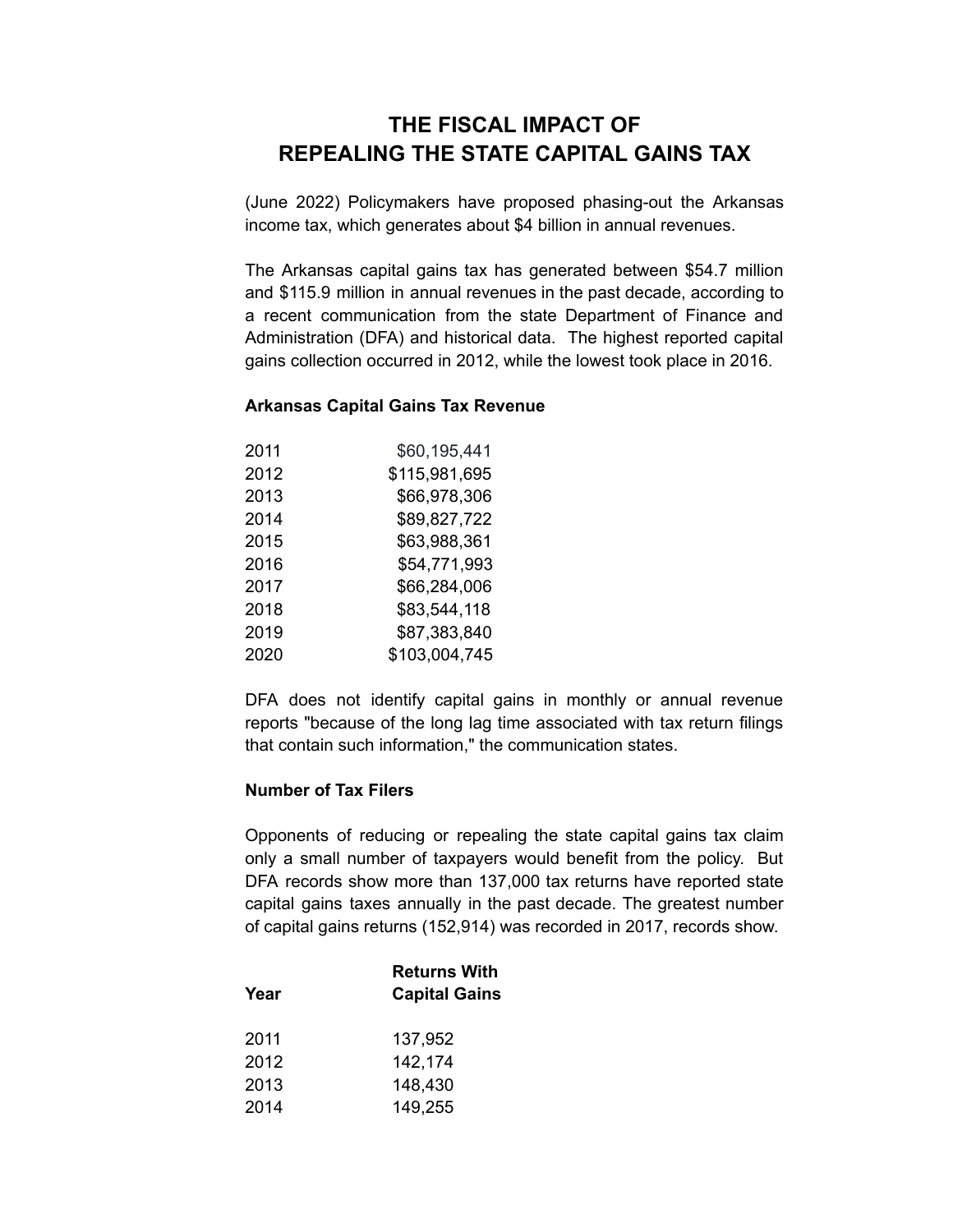## **THE FISCAL IMPACT OF REPEALING THE STATE CAPITAL GAINS TAX**

(June 2022) Policymakers have proposed phasing-out the Arkansas income tax, which generates about \$4 billion in annual revenues.

The Arkansas capital gains tax has generated between \$54.7 million and \$115.9 million in annual revenues in the past decade, according to a recent communication from the state Department of Finance and Administration (DFA) and historical data. The highest reported capital gains collection occurred in 2012, while the lowest took place in 2016.

## **Arkansas Capital Gains Tax Revenue**

| 2011 | \$60,195,441  |
|------|---------------|
| 2012 | \$115,981,695 |
| 2013 | \$66,978,306  |
| 2014 | \$89,827,722  |
| 2015 | \$63,988,361  |
| 2016 | \$54,771,993  |
| 2017 | \$66,284,006  |
| 2018 | \$83,544,118  |
| 2019 | \$87,383,840  |
| 2020 | \$103,004,745 |

DFA does not identify capital gains in monthly or annual revenue reports "because of the long lag time associated with tax return filings that contain such information," the communication states.

## **Number of Tax Filers**

Opponents of reducing or repealing the state capital gains tax claim only a small number of taxpayers would benefit from the policy. But DFA records show more than 137,000 tax returns have reported state capital gains taxes annually in the past decade. The greatest number of capital gains returns (152,914) was recorded in 2017, records show.

| Year | <b>Returns With</b><br><b>Capital Gains</b> |
|------|---------------------------------------------|
| 2011 | 137,952                                     |
| 2012 | 142,174                                     |
| 2013 | 148,430                                     |
| 2014 | 149,255                                     |